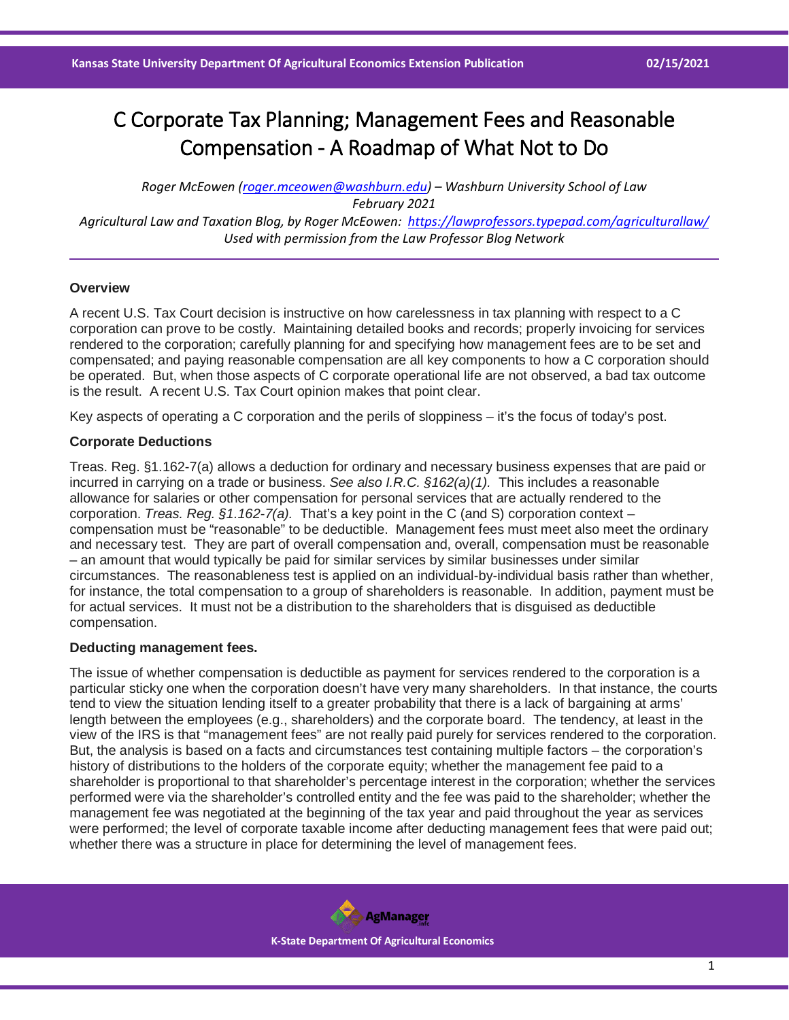# C Corporate Tax Planning; Management Fees and Reasonable Compensation - A Roadmap of What Not to Do

*Roger McEowen [\(roger.mceowen@washburn.edu\)](mailto:roger.mceowen@washburn.edu) – Washburn University School of Law February 2021 Agricultural Law and Taxation Blog, by Roger McEowen:<https://lawprofessors.typepad.com/agriculturallaw/> Used with permission from the Law Professor Blog Network*

#### **Overview**

A recent U.S. Tax Court decision is instructive on how carelessness in tax planning with respect to a C corporation can prove to be costly. Maintaining detailed books and records; properly invoicing for services rendered to the corporation; carefully planning for and specifying how management fees are to be set and compensated; and paying reasonable compensation are all key components to how a C corporation should be operated. But, when those aspects of C corporate operational life are not observed, a bad tax outcome is the result. A recent U.S. Tax Court opinion makes that point clear.

Key aspects of operating a C corporation and the perils of sloppiness – it's the focus of today's post.

#### **Corporate Deductions**

Treas. Reg. §1.162-7(a) allows a deduction for ordinary and necessary business expenses that are paid or incurred in carrying on a trade or business. *See also I.R.C. §162(a)(1).* This includes a reasonable allowance for salaries or other compensation for personal services that are actually rendered to the corporation. *Treas. Reg. §1.162-7(a).* That's a key point in the C (and S) corporation context – compensation must be "reasonable" to be deductible. Management fees must meet also meet the ordinary and necessary test. They are part of overall compensation and, overall, compensation must be reasonable – an amount that would typically be paid for similar services by similar businesses under similar circumstances. The reasonableness test is applied on an individual-by-individual basis rather than whether, for instance, the total compensation to a group of shareholders is reasonable. In addition, payment must be for actual services. It must not be a distribution to the shareholders that is disguised as deductible compensation.

#### **Deducting management fees.**

The issue of whether compensation is deductible as payment for services rendered to the corporation is a particular sticky one when the corporation doesn't have very many shareholders. In that instance, the courts tend to view the situation lending itself to a greater probability that there is a lack of bargaining at arms' length between the employees (e.g., shareholders) and the corporate board. The tendency, at least in the view of the IRS is that "management fees" are not really paid purely for services rendered to the corporation. But, the analysis is based on a facts and circumstances test containing multiple factors – the corporation's history of distributions to the holders of the corporate equity; whether the management fee paid to a shareholder is proportional to that shareholder's percentage interest in the corporation; whether the services performed were via the shareholder's controlled entity and the fee was paid to the shareholder; whether the management fee was negotiated at the beginning of the tax year and paid throughout the year as services were performed; the level of corporate taxable income after deducting management fees that were paid out; whether there was a structure in place for determining the level of management fees.

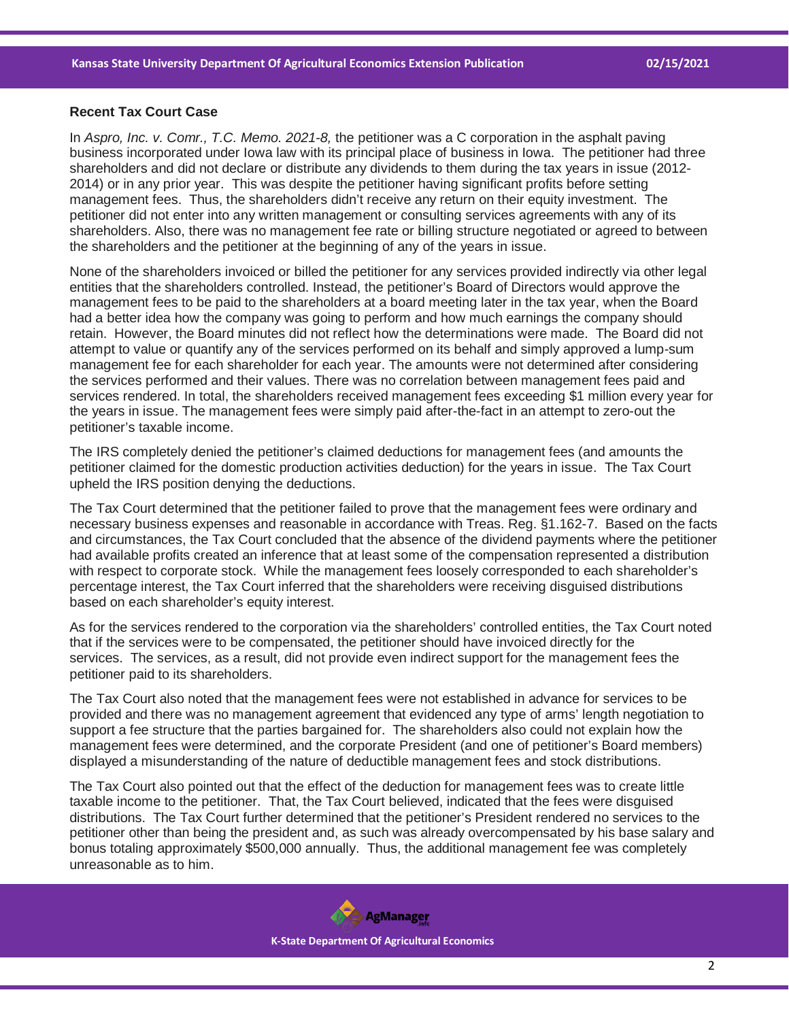### **Recent Tax Court Case**

In *Aspro, Inc. v. Comr., T.C. Memo. 2021-8,* the petitioner was a C corporation in the asphalt paving business incorporated under Iowa law with its principal place of business in Iowa. The petitioner had three shareholders and did not declare or distribute any dividends to them during the tax years in issue (2012- 2014) or in any prior year. This was despite the petitioner having significant profits before setting management fees. Thus, the shareholders didn't receive any return on their equity investment. The petitioner did not enter into any written management or consulting services agreements with any of its shareholders. Also, there was no management fee rate or billing structure negotiated or agreed to between the shareholders and the petitioner at the beginning of any of the years in issue.

None of the shareholders invoiced or billed the petitioner for any services provided indirectly via other legal entities that the shareholders controlled. Instead, the petitioner's Board of Directors would approve the management fees to be paid to the shareholders at a board meeting later in the tax year, when the Board had a better idea how the company was going to perform and how much earnings the company should retain. However, the Board minutes did not reflect how the determinations were made. The Board did not attempt to value or quantify any of the services performed on its behalf and simply approved a lump-sum management fee for each shareholder for each year. The amounts were not determined after considering the services performed and their values. There was no correlation between management fees paid and services rendered. In total, the shareholders received management fees exceeding \$1 million every year for the years in issue. The management fees were simply paid after-the-fact in an attempt to zero-out the petitioner's taxable income.

The IRS completely denied the petitioner's claimed deductions for management fees (and amounts the petitioner claimed for the domestic production activities deduction) for the years in issue. The Tax Court upheld the IRS position denying the deductions.

The Tax Court determined that the petitioner failed to prove that the management fees were ordinary and necessary business expenses and reasonable in accordance with Treas. Reg. §1.162-7. Based on the facts and circumstances, the Tax Court concluded that the absence of the dividend payments where the petitioner had available profits created an inference that at least some of the compensation represented a distribution with respect to corporate stock. While the management fees loosely corresponded to each shareholder's percentage interest, the Tax Court inferred that the shareholders were receiving disguised distributions based on each shareholder's equity interest.

As for the services rendered to the corporation via the shareholders' controlled entities, the Tax Court noted that if the services were to be compensated, the petitioner should have invoiced directly for the services. The services, as a result, did not provide even indirect support for the management fees the petitioner paid to its shareholders.

The Tax Court also noted that the management fees were not established in advance for services to be provided and there was no management agreement that evidenced any type of arms' length negotiation to support a fee structure that the parties bargained for. The shareholders also could not explain how the management fees were determined, and the corporate President (and one of petitioner's Board members) displayed a misunderstanding of the nature of deductible management fees and stock distributions.

The Tax Court also pointed out that the effect of the deduction for management fees was to create little taxable income to the petitioner. That, the Tax Court believed, indicated that the fees were disguised distributions. The Tax Court further determined that the petitioner's President rendered no services to the petitioner other than being the president and, as such was already overcompensated by his base salary and bonus totaling approximately \$500,000 annually. Thus, the additional management fee was completely unreasonable as to him.